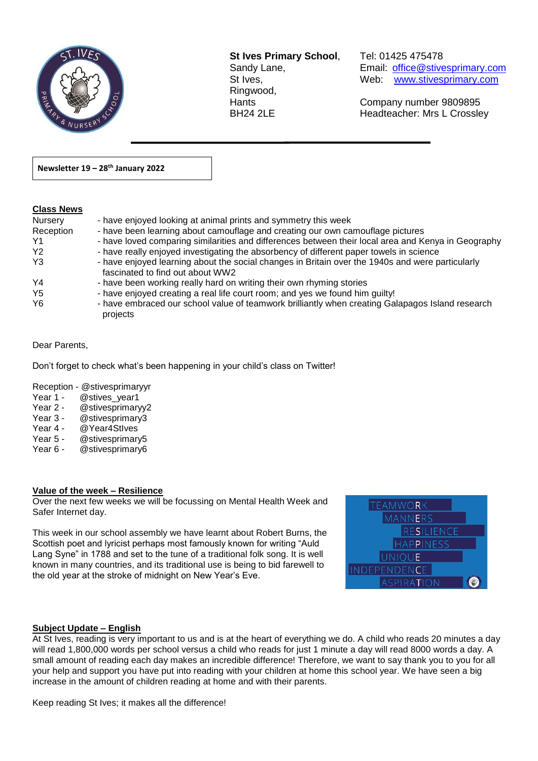

**St Ives Primary School**, Tel: 01425 475478 Ringwood,

 $\overline{a}$ 

Sandy Lane, Email: office@stivesprimary.com St Ives, Manuel Meb: [www.stivesprimary.com](http://www.stives.dorset.sch.uk/)

Hants Company number 9809895 BH24 2LE Headteacher: Mrs L Crossley

**Newsletter 19 – 28th January 2022** 

### **Class News**

| <u>,,,,,,,,,,,,</u> |                                                                                                                                      |
|---------------------|--------------------------------------------------------------------------------------------------------------------------------------|
| Nursery             | - have enjoyed looking at animal prints and symmetry this week                                                                       |
| Reception           | - have been learning about camouflage and creating our own camouflage pictures                                                       |
| Y1                  | - have loved comparing similarities and differences between their local area and Kenya in Geography                                  |
| Y <sub>2</sub>      | - have really enjoyed investigating the absorbency of different paper towels in science                                              |
| Y3                  | - have enjoyed learning about the social changes in Britain over the 1940s and were particularly<br>fascinated to find out about WW2 |
| Y <sub>4</sub>      | - have been working really hard on writing their own rhyming stories                                                                 |
| Y <sub>5</sub>      | - have enjoyed creating a real life court room; and yes we found him guilty!                                                         |
| Y <sub>6</sub>      | - have embraced our school value of teamwork brilliantly when creating Galapagos Island research<br>projects                         |

#### Dear Parents,

Don't forget to check what's been happening in your child's class on Twitter!

Reception - @stivesprimaryyr

- Year 1 @stives\_year1<br>Year 2 @stivesprimarv
- @stivesprimaryy2
- Year 3 @stivesprimary3
- Year 4 @ Year4Stives
- Year 5 @stivesprimary5
- Year 6 @stivesprimary6

#### **Value of the week – Resilience**

Over the next few weeks we will be focussing on Mental Health Week and Safer Internet day.

This week in our school assembly we have learnt about Robert Burns, the Scottish poet and lyricist perhaps most famously known for writing "Auld Lang Syne" in 1788 and set to the tune of a traditional folk song. It is well known in many countries, and its traditional use is being to bid farewell to the old year at the stroke of midnight on New Year's Eve.

| <b>TEAMWORK</b>     |  |
|---------------------|--|
| <b>MANNERS</b>      |  |
| <b>RESILIENCE</b>   |  |
| <b>HAPPINESS</b>    |  |
| <b>UNIQUE</b>       |  |
| <b>INDEPENDENCE</b> |  |
| <b>ASPIRATION</b>   |  |

#### **Subject Update – English**

At St Ives, reading is very important to us and is at the heart of everything we do. A child who reads 20 minutes a day will read 1,800,000 words per school versus a child who reads for just 1 minute a day will read 8000 words a day. A small amount of reading each day makes an incredible difference! Therefore, we want to say thank you to you for all your help and support you have put into reading with your children at home this school year. We have seen a big increase in the amount of children reading at home and with their parents.

Keep reading St Ives; it makes all the difference!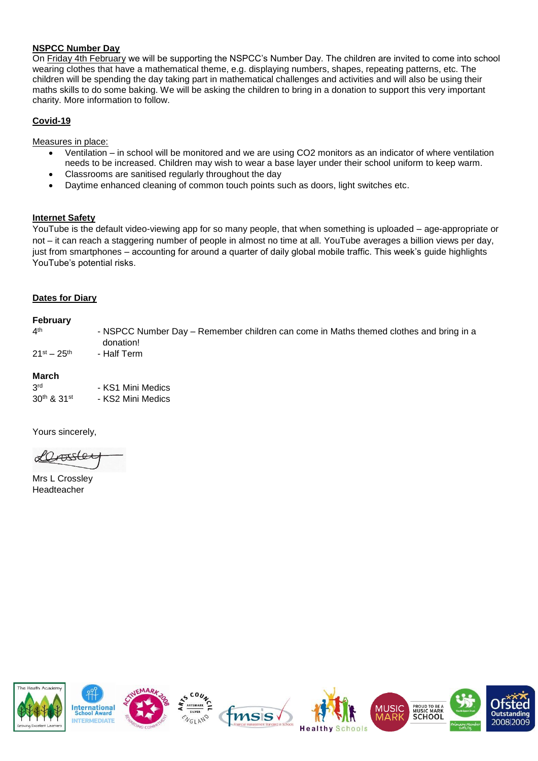### **NSPCC Number Day**

On Friday 4th February we will be supporting the NSPCC's Number Day. The children are invited to come into school wearing clothes that have a mathematical theme, e.g. displaying numbers, shapes, repeating patterns, etc. The children will be spending the day taking part in mathematical challenges and activities and will also be using their maths skills to do some baking. We will be asking the children to bring in a donation to support this very important charity. More information to follow.

# **Covid-19**

Measures in place:

- Ventilation in school will be monitored and we are using CO2 monitors as an indicator of where ventilation needs to be increased. Children may wish to wear a base layer under their school uniform to keep warm.
- Classrooms are sanitised regularly throughout the day
- Daytime enhanced cleaning of common touch points such as doors, light switches etc.

#### **Internet Safety**

YouTube is the default video-viewing app for so many people, that when something is uploaded – age-appropriate or not – it can reach a staggering number of people in almost no time at all. YouTube averages a billion views per day, just from smartphones – accounting for around a quarter of daily global mobile traffic. This week's guide highlights YouTube's potential risks.

#### **Dates for Diary**

#### **February**

 $4<sup>th</sup>$ - NSPCC Number Day – Remember children can come in Maths themed clothes and bring in a donation!  $21$ <sup>st</sup> –  $25$ <sup>th</sup> - Half Term

#### **March**

| 3rd         | - KS1 Mini Medics |
|-------------|-------------------|
| 30th & 31st | - KS2 Mini Medics |

Yours sincerely,

Lassler

Mrs L Crossley Headteacher